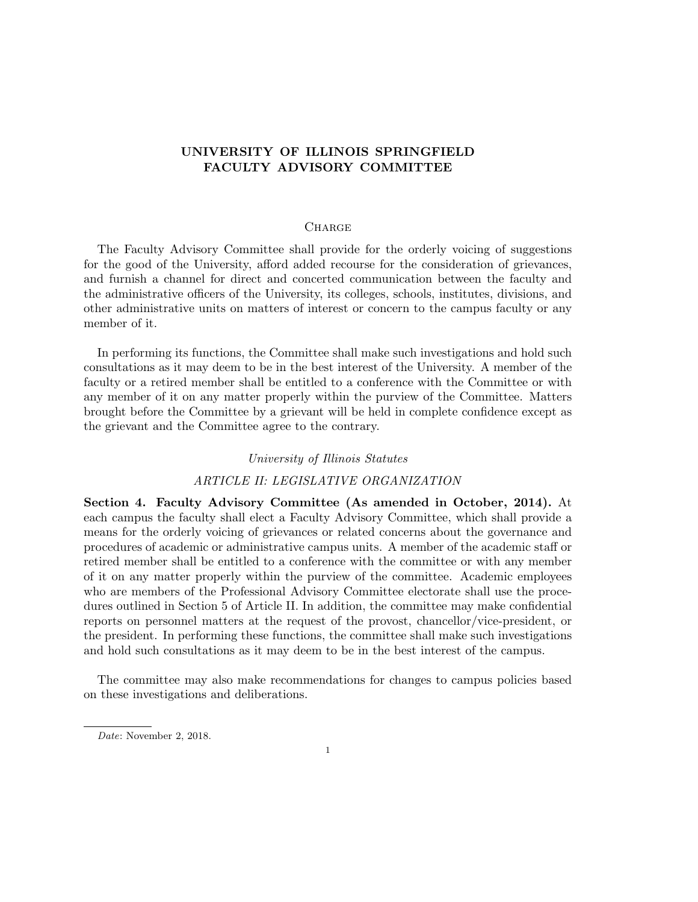# UNIVERSITY OF ILLINOIS SPRINGFIELD FACULTY ADVISORY COMMITTEE

## **CHARGE**

The Faculty Advisory Committee shall provide for the orderly voicing of suggestions for the good of the University, afford added recourse for the consideration of grievances, and furnish a channel for direct and concerted communication between the faculty and the administrative officers of the University, its colleges, schools, institutes, divisions, and other administrative units on matters of interest or concern to the campus faculty or any member of it.

In performing its functions, the Committee shall make such investigations and hold such consultations as it may deem to be in the best interest of the University. A member of the faculty or a retired member shall be entitled to a conference with the Committee or with any member of it on any matter properly within the purview of the Committee. Matters brought before the Committee by a grievant will be held in complete confidence except as the grievant and the Committee agree to the contrary.

## University of Illinois Statutes

## ARTICLE II: LEGISLATIVE ORGANIZATION

Section 4. Faculty Advisory Committee (As amended in October, 2014). At each campus the faculty shall elect a Faculty Advisory Committee, which shall provide a means for the orderly voicing of grievances or related concerns about the governance and procedures of academic or administrative campus units. A member of the academic staff or retired member shall be entitled to a conference with the committee or with any member of it on any matter properly within the purview of the committee. Academic employees who are members of the Professional Advisory Committee electorate shall use the procedures outlined in Section 5 of Article II. In addition, the committee may make confidential reports on personnel matters at the request of the provost, chancellor/vice-president, or the president. In performing these functions, the committee shall make such investigations and hold such consultations as it may deem to be in the best interest of the campus.

The committee may also make recommendations for changes to campus policies based on these investigations and deliberations.

Date: November 2, 2018.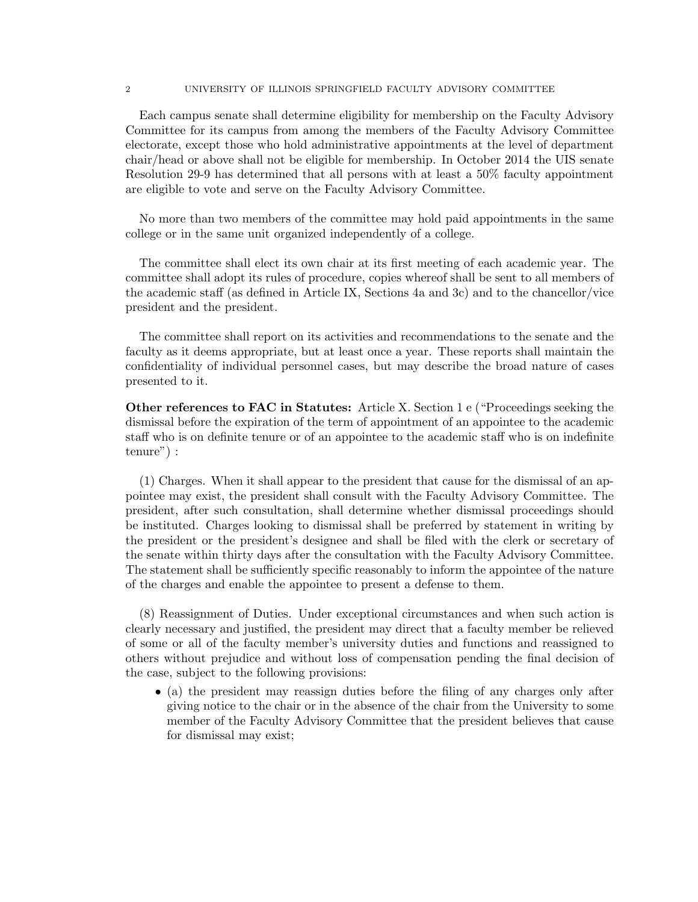2 UNIVERSITY OF ILLINOIS SPRINGFIELD FACULTY ADVISORY COMMITTEE

Each campus senate shall determine eligibility for membership on the Faculty Advisory Committee for its campus from among the members of the Faculty Advisory Committee electorate, except those who hold administrative appointments at the level of department chair/head or above shall not be eligible for membership. In October 2014 the UIS senate Resolution 29-9 has determined that all persons with at least a 50% faculty appointment are eligible to vote and serve on the Faculty Advisory Committee.

No more than two members of the committee may hold paid appointments in the same college or in the same unit organized independently of a college.

The committee shall elect its own chair at its first meeting of each academic year. The committee shall adopt its rules of procedure, copies whereof shall be sent to all members of the academic staff (as defined in Article IX, Sections 4a and 3c) and to the chancellor/vice president and the president.

The committee shall report on its activities and recommendations to the senate and the faculty as it deems appropriate, but at least once a year. These reports shall maintain the confidentiality of individual personnel cases, but may describe the broad nature of cases presented to it.

Other references to FAC in Statutes: Article X. Section 1 e ("Proceedings seeking the dismissal before the expiration of the term of appointment of an appointee to the academic staff who is on definite tenure or of an appointee to the academic staff who is on indefinite tenure") :

(1) Charges. When it shall appear to the president that cause for the dismissal of an appointee may exist, the president shall consult with the Faculty Advisory Committee. The president, after such consultation, shall determine whether dismissal proceedings should be instituted. Charges looking to dismissal shall be preferred by statement in writing by the president or the president's designee and shall be filed with the clerk or secretary of the senate within thirty days after the consultation with the Faculty Advisory Committee. The statement shall be sufficiently specific reasonably to inform the appointee of the nature of the charges and enable the appointee to present a defense to them.

(8) Reassignment of Duties. Under exceptional circumstances and when such action is clearly necessary and justified, the president may direct that a faculty member be relieved of some or all of the faculty member's university duties and functions and reassigned to others without prejudice and without loss of compensation pending the final decision of the case, subject to the following provisions:

• (a) the president may reassign duties before the filing of any charges only after giving notice to the chair or in the absence of the chair from the University to some member of the Faculty Advisory Committee that the president believes that cause for dismissal may exist;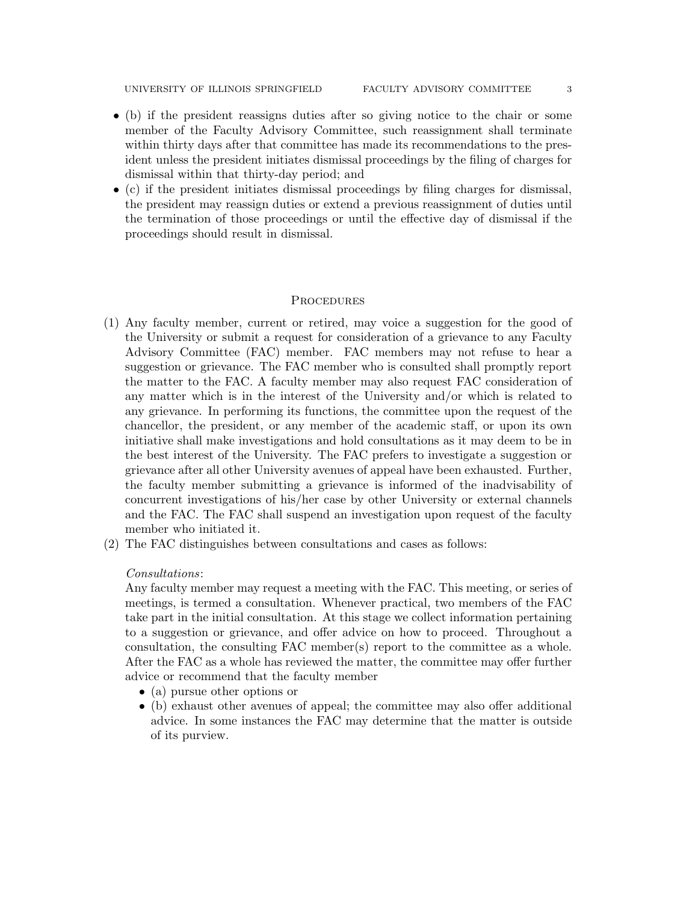UNIVERSITY OF ILLINOIS SPRINGFIELD FACULTY ADVISORY COMMITTEE 3

- (b) if the president reassigns duties after so giving notice to the chair or some member of the Faculty Advisory Committee, such reassignment shall terminate within thirty days after that committee has made its recommendations to the president unless the president initiates dismissal proceedings by the filing of charges for dismissal within that thirty-day period; and
- (c) if the president initiates dismissal proceedings by filing charges for dismissal, the president may reassign duties or extend a previous reassignment of duties until the termination of those proceedings or until the effective day of dismissal if the proceedings should result in dismissal.

#### **PROCEDURES**

- (1) Any faculty member, current or retired, may voice a suggestion for the good of the University or submit a request for consideration of a grievance to any Faculty Advisory Committee (FAC) member. FAC members may not refuse to hear a suggestion or grievance. The FAC member who is consulted shall promptly report the matter to the FAC. A faculty member may also request FAC consideration of any matter which is in the interest of the University and/or which is related to any grievance. In performing its functions, the committee upon the request of the chancellor, the president, or any member of the academic staff, or upon its own initiative shall make investigations and hold consultations as it may deem to be in the best interest of the University. The FAC prefers to investigate a suggestion or grievance after all other University avenues of appeal have been exhausted. Further, the faculty member submitting a grievance is informed of the inadvisability of concurrent investigations of his/her case by other University or external channels and the FAC. The FAC shall suspend an investigation upon request of the faculty member who initiated it.
- (2) The FAC distinguishes between consultations and cases as follows:

#### Consultations:

Any faculty member may request a meeting with the FAC. This meeting, or series of meetings, is termed a consultation. Whenever practical, two members of the FAC take part in the initial consultation. At this stage we collect information pertaining to a suggestion or grievance, and offer advice on how to proceed. Throughout a consultation, the consulting FAC member(s) report to the committee as a whole. After the FAC as a whole has reviewed the matter, the committee may offer further advice or recommend that the faculty member

- (a) pursue other options or
- (b) exhaust other avenues of appeal; the committee may also offer additional advice. In some instances the FAC may determine that the matter is outside of its purview.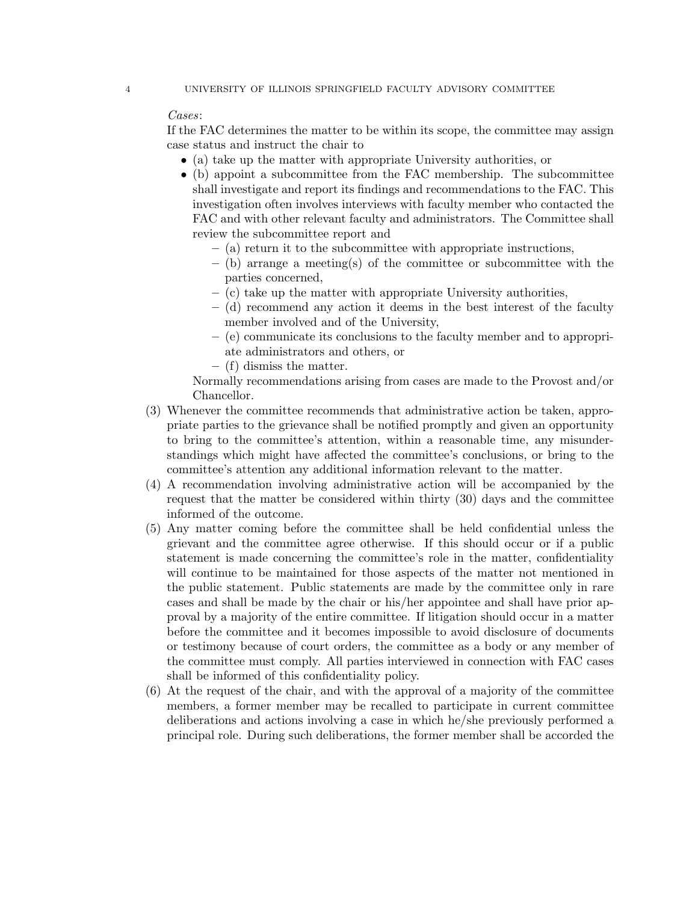# Cases:

If the FAC determines the matter to be within its scope, the committee may assign case status and instruct the chair to

- (a) take up the matter with appropriate University authorities, or
- (b) appoint a subcommittee from the FAC membership. The subcommittee shall investigate and report its findings and recommendations to the FAC. This investigation often involves interviews with faculty member who contacted the FAC and with other relevant faculty and administrators. The Committee shall review the subcommittee report and
	- (a) return it to the subcommittee with appropriate instructions,
	- $-$  (b) arrange a meeting(s) of the committee or subcommittee with the parties concerned,
	- (c) take up the matter with appropriate University authorities,
	- (d) recommend any action it deems in the best interest of the faculty member involved and of the University,
	- (e) communicate its conclusions to the faculty member and to appropriate administrators and others, or
	- (f) dismiss the matter.

Normally recommendations arising from cases are made to the Provost and/or Chancellor.

- (3) Whenever the committee recommends that administrative action be taken, appropriate parties to the grievance shall be notified promptly and given an opportunity to bring to the committee's attention, within a reasonable time, any misunderstandings which might have affected the committee's conclusions, or bring to the committee's attention any additional information relevant to the matter.
- (4) A recommendation involving administrative action will be accompanied by the request that the matter be considered within thirty (30) days and the committee informed of the outcome.
- (5) Any matter coming before the committee shall be held confidential unless the grievant and the committee agree otherwise. If this should occur or if a public statement is made concerning the committee's role in the matter, confidentiality will continue to be maintained for those aspects of the matter not mentioned in the public statement. Public statements are made by the committee only in rare cases and shall be made by the chair or his/her appointee and shall have prior approval by a majority of the entire committee. If litigation should occur in a matter before the committee and it becomes impossible to avoid disclosure of documents or testimony because of court orders, the committee as a body or any member of the committee must comply. All parties interviewed in connection with FAC cases shall be informed of this confidentiality policy.
- (6) At the request of the chair, and with the approval of a majority of the committee members, a former member may be recalled to participate in current committee deliberations and actions involving a case in which he/she previously performed a principal role. During such deliberations, the former member shall be accorded the